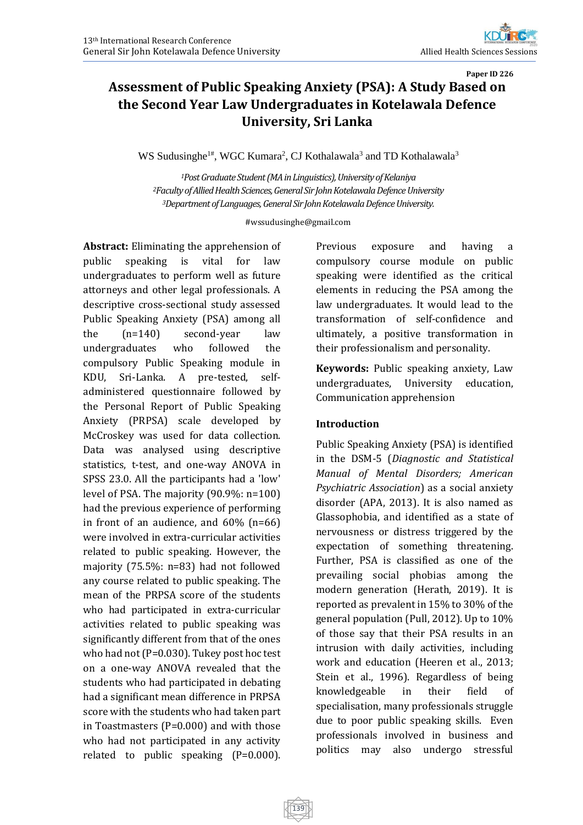# **Paper ID 226 Assessment of Public Speaking Anxiety (PSA): A Study Based on the Second Year Law Undergraduates in Kotelawala Defence University, Sri Lanka**

WS Sudusinghe<sup>1#</sup>, WGC Kumara<sup>2</sup>, CJ Kothalawala<sup>3</sup> and TD Kothalawala<sup>3</sup>

*<sup>1</sup>Post Graduate Student (MA in Linguistics), University of Kelaniya <sup>2</sup>Faculty of Allied Health Sciences, General Sir John Kotelawala Defence University <sup>3</sup>Department of Languages, General Sir John Kotelawala Defence University.*

#### #wssudusinghe@gmail.com

**Abstract:** Eliminating the apprehension of public speaking is vital for law undergraduates to perform well as future attorneys and other legal professionals. A descriptive cross-sectional study assessed Public Speaking Anxiety (PSA) among all the (n=140) second-year law undergraduates who followed the compulsory Public Speaking module in KDU, Sri-Lanka. A pre-tested, selfadministered questionnaire followed by the Personal Report of Public Speaking Anxiety (PRPSA) scale developed by McCroskey was used for data collection. Data was analysed using descriptive statistics, t-test, and one-way ANOVA in SPSS 23.0. All the participants had a 'low' level of PSA. The majority (90.9%: n=100) had the previous experience of performing in front of an audience, and 60% (n=66) were involved in extra-curricular activities related to public speaking. However, the majority (75.5%: n=83) had not followed any course related to public speaking. The mean of the PRPSA score of the students who had participated in extra-curricular activities related to public speaking was significantly different from that of the ones who had not (P=0.030). Tukey post hoc test on a one-way ANOVA revealed that the students who had participated in debating had a significant mean difference in PRPSA score with the students who had taken part in Toastmasters (P=0.000) and with those who had not participated in any activity related to public speaking (P=0.000).

Previous exposure and having a compulsory course module on public speaking were identified as the critical elements in reducing the PSA among the law undergraduates. It would lead to the transformation of self-confidence and ultimately, a positive transformation in their professionalism and personality.

**Keywords:** Public speaking anxiety, Law undergraduates, University education, Communication apprehension

#### **Introduction**

Public Speaking Anxiety (PSA) is identified in the DSM-5 (*Diagnostic and Statistical Manual of Mental Disorders; American Psychiatric Association*) as a social anxiety disorder (APA, 2013). It is also named as Glassophobia, and identified as a state of nervousness or distress triggered by the expectation of something threatening. Further, PSA is classified as one of the prevailing social phobias among the modern generation (Herath, 2019). It is reported as prevalent in 15% to 30% of the general population (Pull, 2012). Up to 10% of those say that their PSA results in an intrusion with daily activities, including work and education (Heeren et al., 2013; Stein et al., 1996). Regardless of being knowledgeable in their field of specialisation, many professionals struggle due to poor public speaking skills. Even professionals involved in business and politics may also undergo stressful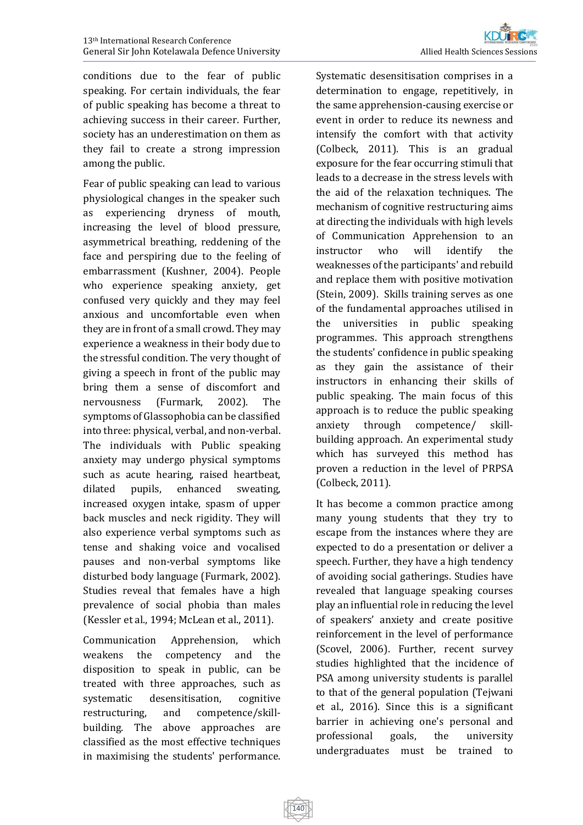conditions due to the fear of public speaking. For certain individuals, the fear of public speaking has become a threat to achieving success in their career. Further, society has an underestimation on them as they fail to create a strong impression among the public.

Fear of public speaking can lead to various physiological changes in the speaker such as experiencing dryness of mouth, increasing the level of blood pressure, asymmetrical breathing, reddening of the face and perspiring due to the feeling of embarrassment (Kushner, 2004). People who experience speaking anxiety, get confused very quickly and they may feel anxious and uncomfortable even when they are in front of a small crowd. They may experience a weakness in their body due to the stressful condition. The very thought of giving a speech in front of the public may bring them a sense of discomfort and nervousness (Furmark, 2002). The symptoms of Glassophobia can be classified into three: physical, verbal, and non-verbal. The individuals with Public speaking anxiety may undergo physical symptoms such as acute hearing, raised heartbeat, dilated pupils, enhanced sweating, increased oxygen intake, spasm of upper back muscles and neck rigidity. They will also experience verbal symptoms such as tense and shaking voice and vocalised pauses and non-verbal symptoms like disturbed body language (Furmark, 2002). Studies reveal that females have a high prevalence of social phobia than males (Kessler et al., 1994; McLean et al., 2011).

Communication Apprehension, which weakens the competency and the disposition to speak in public, can be treated with three approaches, such as systematic desensitisation, cognitive restructuring, and competence/skillbuilding. The above approaches are classified as the most effective techniques in maximising the students' performance.

Systematic desensitisation comprises in a determination to engage, repetitively, in the same apprehension-causing exercise or event in order to reduce its newness and intensify the comfort with that activity (Colbeck, 2011). This is an gradual exposure for the fear occurring stimuli that leads to a decrease in the stress levels with the aid of the relaxation techniques. The mechanism of cognitive restructuring aims at directing the individuals with high levels of Communication Apprehension to an instructor who will identify the weaknesses of the participants' and rebuild and replace them with positive motivation (Stein, 2009). Skills training serves as one of the fundamental approaches utilised in the universities in public speaking programmes. This approach strengthens the students' confidence in public speaking as they gain the assistance of their instructors in enhancing their skills of public speaking. The main focus of this approach is to reduce the public speaking anxiety through competence/ skillbuilding approach. An experimental study which has surveyed this method has proven a reduction in the level of PRPSA (Colbeck, 2011).

It has become a common practice among many young students that they try to escape from the instances where they are expected to do a presentation or deliver a speech. Further, they have a high tendency of avoiding social gatherings. Studies have revealed that language speaking courses play an influential role in reducing the level of speakers' anxiety and create positive reinforcement in the level of performance (Scovel, 2006). Further, recent survey studies highlighted that the incidence of PSA among university students is parallel to that of the general population (Tejwani et al., 2016). Since this is a significant barrier in achieving one's personal and professional goals, the university undergraduates must be trained to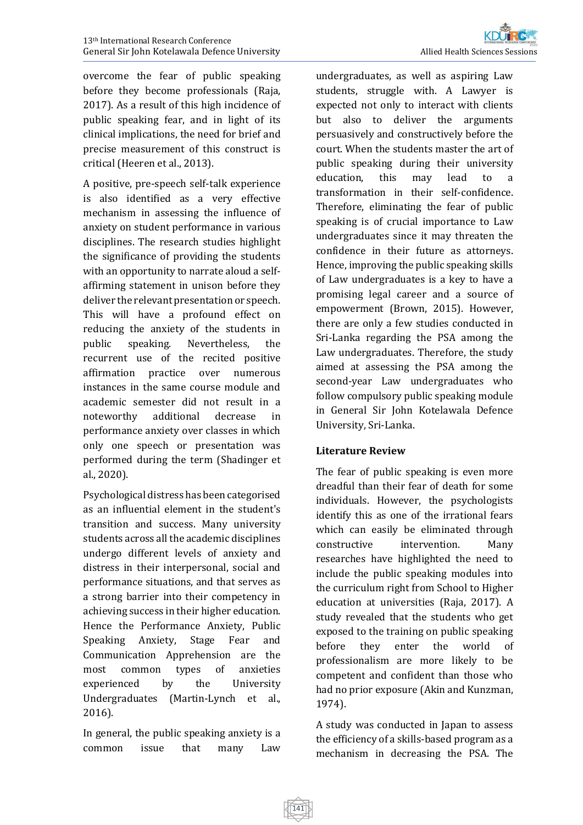overcome the fear of public speaking before they become professionals (Raja, 2017). As a result of this high incidence of public speaking fear, and in light of its clinical implications, the need for brief and precise measurement of this construct is critical (Heeren et al., 2013).

A positive, pre-speech self-talk experience is also identified as a very effective mechanism in assessing the influence of anxiety on student performance in various disciplines. The research studies highlight the significance of providing the students with an opportunity to narrate aloud a selfaffirming statement in unison before they deliver the relevant presentation or speech. This will have a profound effect on reducing the anxiety of the students in public speaking. Nevertheless, the recurrent use of the recited positive affirmation practice over numerous instances in the same course module and academic semester did not result in a noteworthy additional decrease in performance anxiety over classes in which only one speech or presentation was performed during the term (Shadinger et al., 2020).

Psychological distress has been categorised as an influential element in the student's transition and success. Many university students across all the academic disciplines undergo different levels of anxiety and distress in their interpersonal, social and performance situations, and that serves as a strong barrier into their competency in achieving success in their higher education. Hence the Performance Anxiety, Public Speaking Anxiety, Stage Fear and Communication Apprehension are the most common types of anxieties experienced by the University Undergraduates (Martin-Lynch et al., 2016).

In general, the public speaking anxiety is a common issue that many Law

undergraduates, as well as aspiring Law students, struggle with. A Lawyer is expected not only to interact with clients but also to deliver the arguments persuasively and constructively before the court. When the students master the art of public speaking during their university education, this may lead to a transformation in their self-confidence. Therefore, eliminating the fear of public speaking is of crucial importance to Law undergraduates since it may threaten the confidence in their future as attorneys. Hence, improving the public speaking skills of Law undergraduates is a key to have a promising legal career and a source of empowerment (Brown, 2015). However, there are only a few studies conducted in Sri-Lanka regarding the PSA among the Law undergraduates. Therefore, the study aimed at assessing the PSA among the second-year Law undergraduates who follow compulsory public speaking module in General Sir John Kotelawala Defence University, Sri-Lanka.

## **Literature Review**

The fear of public speaking is even more dreadful than their fear of death for some individuals. However, the psychologists identify this as one of the irrational fears which can easily be eliminated through constructive intervention. Many researches have highlighted the need to include the public speaking modules into the curriculum right from School to Higher education at universities (Raja, 2017). A study revealed that the students who get exposed to the training on public speaking before they enter the world of professionalism are more likely to be competent and confident than those who had no prior exposure (Akin and Kunzman, 1974).

A study was conducted in Japan to assess the efficiency of a skills-based program as a mechanism in decreasing the PSA. The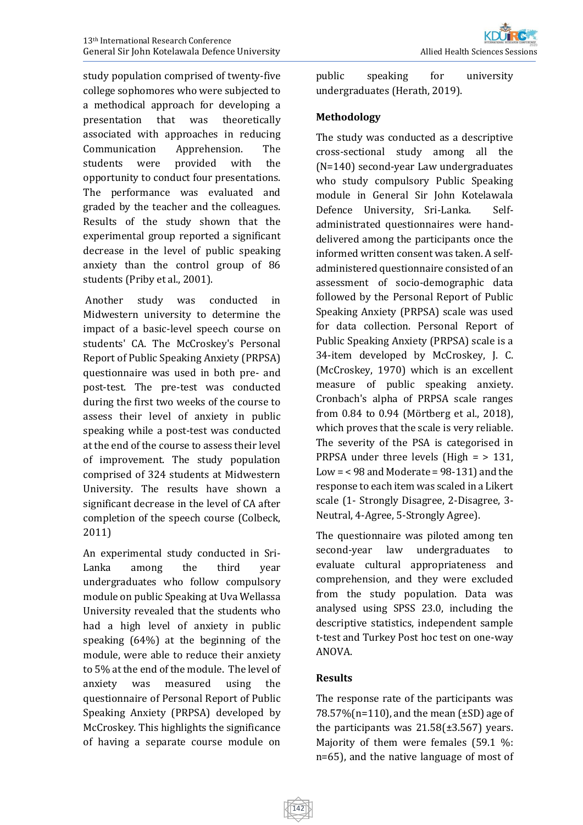study population comprised of twenty-five college sophomores who were subjected to a methodical approach for developing a presentation that was theoretically associated with approaches in reducing Communication Apprehension. The students were provided with the opportunity to conduct four presentations. The performance was evaluated and graded by the teacher and the colleagues. Results of the study shown that the experimental group reported a significant decrease in the level of public speaking anxiety than the control group of 86 students (Priby et al., 2001).

Another study was conducted in Midwestern university to determine the impact of a basic-level speech course on students' CA. The McCroskey's Personal Report of Public Speaking Anxiety (PRPSA) questionnaire was used in both pre- and post-test. The pre-test was conducted during the first two weeks of the course to assess their level of anxiety in public speaking while a post-test was conducted at the end of the course to assess their level of improvement. The study population comprised of 324 students at Midwestern University. The results have shown a significant decrease in the level of CA after completion of the speech course (Colbeck, 2011)

An experimental study conducted in Sri-Lanka among the third year undergraduates who follow compulsory module on public Speaking at Uva Wellassa University revealed that the students who had a high level of anxiety in public speaking (64%) at the beginning of the module, were able to reduce their anxiety to 5% at the end of the module. The level of anxiety was measured using the questionnaire of Personal Report of Public Speaking Anxiety (PRPSA) developed by McCroskey. This highlights the significance of having a separate course module on

public speaking for university undergraduates (Herath, 2019).

#### **Methodology**

The study was conducted as a descriptive cross-sectional study among all the (N=140) second-year Law undergraduates who study compulsory Public Speaking module in General Sir John Kotelawala Defence University, Sri-Lanka. Selfadministrated questionnaires were handdelivered among the participants once the informed written consent was taken. A selfadministered questionnaire consisted of an assessment of socio-demographic data followed by the Personal Report of Public Speaking Anxiety (PRPSA) scale was used for data collection. Personal Report of Public Speaking Anxiety (PRPSA) scale is a 34-item developed by McCroskey, J. C. (McCroskey, 1970) which is an excellent measure of public speaking anxiety. Cronbach's alpha of PRPSA scale ranges from 0.84 to 0.94 (Mörtberg et al., 2018), which proves that the scale is very reliable. The severity of the PSA is categorised in PRPSA under three levels (High = > 131, Low  $=$  <98 and Moderate = 98-131) and the response to each item was scaled in a Likert scale (1- Strongly Disagree, 2-Disagree, 3- Neutral, 4-Agree, 5-Strongly Agree).

The questionnaire was piloted among ten second-year law undergraduates to evaluate cultural appropriateness and comprehension, and they were excluded from the study population. Data was analysed using SPSS 23.0, including the descriptive statistics, independent sample t-test and Turkey Post hoc test on one-way ANOVA.

## **Results**

The response rate of the participants was 78.57% ( $n=110$ ), and the mean ( $\pm$ SD) age of the participants was  $21.58(\pm 3.567)$  years. Majority of them were females (59.1 %: n=65), and the native language of most of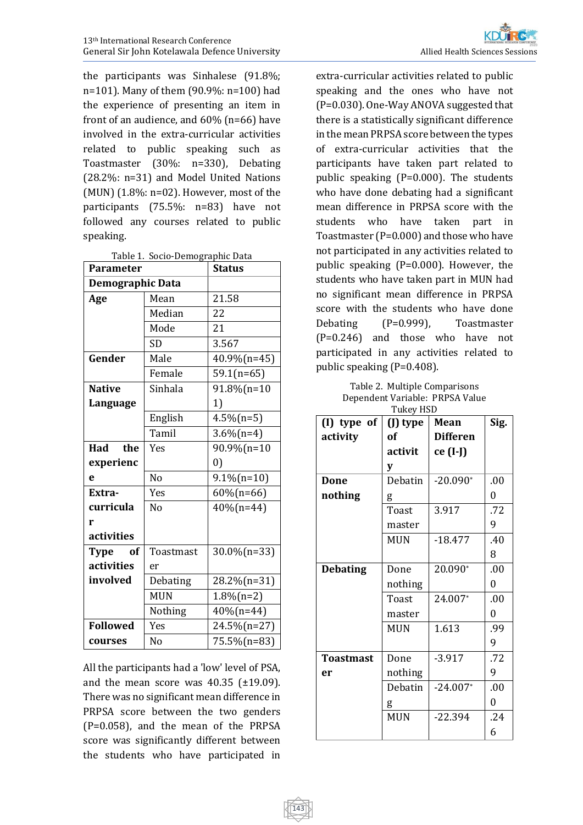the participants was Sinhalese (91.8%; n=101). Many of them (90.9%: n=100) had the experience of presenting an item in front of an audience, and 60% (n=66) have involved in the extra-curricular activities related to public speaking such as Toastmaster (30%: n=330), Debating (28.2%: n=31) and Model United Nations (MUN)  $(1.8\%: n=02)$ . However, most of the participants (75.5%: n=83) have not followed any courses related to public speaking.

Table 1. Socio-Demographic Data

| <b>Parameter</b> |                | <b>Status</b>     |  |  |
|------------------|----------------|-------------------|--|--|
| Demographic Data |                |                   |  |  |
| Age              | Mean           | 21.58             |  |  |
|                  | Median         | 22                |  |  |
|                  | Mode           | 21                |  |  |
|                  | SD             | 3.567             |  |  |
| Gender           | Male           | 40.9%(n=45)       |  |  |
|                  | Female         | $59.1(n=65)$      |  |  |
| <b>Native</b>    | Sinhala        | 91.8%(n=10        |  |  |
| Language         |                | 1)                |  |  |
|                  | English        | $4.5\%$ (n=5)     |  |  |
|                  | Tamil          | $3.6\%$ (n=4)     |  |  |
| Had<br>the       | Yes            | 90.9%(n=10        |  |  |
| experienc        |                | $\left( 0\right)$ |  |  |
| e                | N <sub>0</sub> | $9.1\%$ (n=10)    |  |  |
| Extra-           | Yes            | $60\%$ (n=66)     |  |  |
| curricula        | N <sub>0</sub> | $40\%$ (n=44)     |  |  |
| r                |                |                   |  |  |
| activities       |                |                   |  |  |
| Type<br>of       | Toastmast      | 30.0%(n=33)       |  |  |
| activities       | er             |                   |  |  |
| involved         | Debating       | 28.2%(n=31)       |  |  |
|                  | <b>MUN</b>     | $1.8\%$ (n=2)     |  |  |
|                  | Nothing        | $40\%$ (n=44)     |  |  |
| <b>Followed</b>  | Yes            | 24.5%(n=27)       |  |  |
| courses          | No             | 75.5%(n=83)       |  |  |

All the participants had a 'low' level of PSA, and the mean score was  $40.35$  ( $\pm$ 19.09). There was no significant mean difference in PRPSA score between the two genders (P=0.058), and the mean of the PRPSA score was significantly different between the students who have participated in

143

extra-curricular activities related to public speaking and the ones who have not (P=0.030). One-Way ANOVA suggested that there is a statistically significant difference in the mean PRPSA score between the types of extra-curricular activities that the participants have taken part related to public speaking (P=0.000). The students who have done debating had a significant mean difference in PRPSA score with the students who have taken part in Toastmaster (P=0.000) and those who have not participated in any activities related to public speaking (P=0.000). However, the students who have taken part in MUN had no significant mean difference in PRPSA score with the students who have done Debating (P=0.999), Toastmaster (P=0.246) and those who have not participated in any activities related to public speaking (P=0.408).

Table 2. Multiple Comparisons Dependent Variable: PRPSA Value

| (I) type of      | (J) type   | Mean            | Sig. |
|------------------|------------|-----------------|------|
| activity         | of         | <b>Differen</b> |      |
|                  | activit    | ce (I-J)        |      |
|                  | y          |                 |      |
| Done             | Debatin    | $-20.090*$      | .00  |
| nothing          | g          |                 | 0    |
|                  | Toast      | 3.917           | .72  |
|                  | master     |                 | 9    |
|                  | <b>MUN</b> | $-18.477$       | .40  |
|                  |            |                 | 8    |
| <b>Debating</b>  | Done       | 20.090*         | .00  |
|                  | nothing    |                 | 0    |
|                  | Toast      | 24.007*         | .00  |
|                  | master     |                 | 0    |
|                  | <b>MUN</b> | 1.613           | .99  |
|                  |            |                 | 9    |
| <b>Toastmast</b> | Done       | $-3.917$        | .72  |
| er               | nothing    |                 | 9    |
|                  | Debatin    | $-24.007*$      | .00  |
|                  | g          |                 | 0    |
|                  | <b>MUN</b> | $-22.394$       | .24  |
|                  |            |                 | 6    |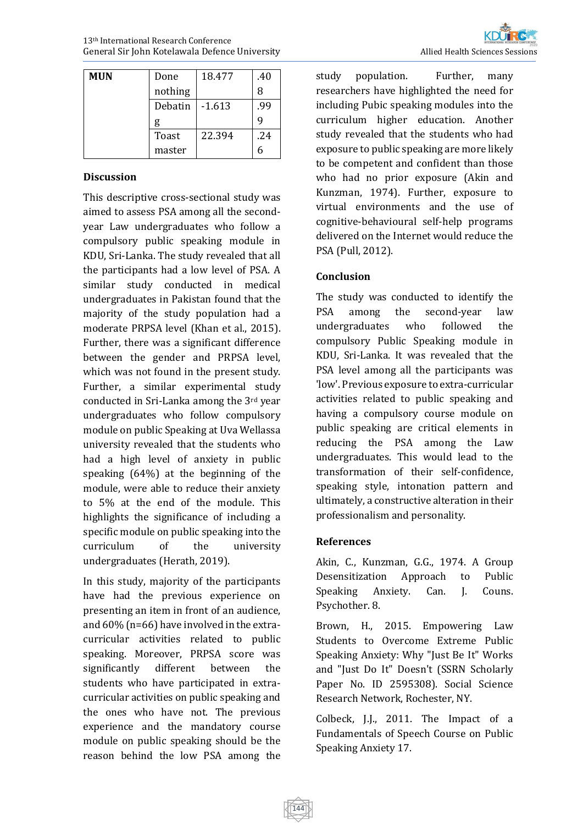| MUN | Done    | 18.477   | .40 |
|-----|---------|----------|-----|
|     | nothing |          | 8   |
|     | Debatin | $-1.613$ | .99 |
|     | g       |          |     |
|     | Toast   | 22.394   | .24 |
|     | master  |          |     |

#### **Discussion**

This descriptive cross-sectional study was aimed to assess PSA among all the secondyear Law undergraduates who follow a compulsory public speaking module in KDU, Sri-Lanka. The study revealed that all the participants had a low level of PSA. A similar study conducted in medical undergraduates in Pakistan found that the majority of the study population had a moderate PRPSA level (Khan et al., 2015). Further, there was a significant difference between the gender and PRPSA level, which was not found in the present study. Further, a similar experimental study conducted in Sri-Lanka among the 3rd year undergraduates who follow compulsory module on public Speaking at Uva Wellassa university revealed that the students who had a high level of anxiety in public speaking (64%) at the beginning of the module, were able to reduce their anxiety to 5% at the end of the module. This highlights the significance of including a specific module on public speaking into the curriculum of the university undergraduates (Herath, 2019).

In this study, majority of the participants have had the previous experience on presenting an item in front of an audience, and 60% (n=66) have involved in the extracurricular activities related to public speaking. Moreover, PRPSA score was significantly different between the students who have participated in extracurricular activities on public speaking and the ones who have not. The previous experience and the mandatory course module on public speaking should be the reason behind the low PSA among the

study population. Further, many researchers have highlighted the need for including Pubic speaking modules into the curriculum higher education. Another study revealed that the students who had exposure to public speaking are more likely to be competent and confident than those who had no prior exposure (Akin and Kunzman, 1974). Further, exposure to virtual environments and the use of cognitive-behavioural self-help programs delivered on the Internet would reduce the PSA (Pull, 2012).

## **Conclusion**

The study was conducted to identify the PSA among the second-year law undergraduates who followed the compulsory Public Speaking module in KDU, Sri-Lanka. It was revealed that the PSA level among all the participants was 'low'. Previous exposure to extra-curricular activities related to public speaking and having a compulsory course module on public speaking are critical elements in reducing the PSA among the Law undergraduates. This would lead to the transformation of their self-confidence, speaking style, intonation pattern and ultimately, a constructive alteration in their professionalism and personality.

## **References**

144

Akin, C., Kunzman, G.G., 1974. A Group Desensitization Approach to Public Speaking Anxiety. Can. J. Couns. Psychother. 8.

Brown, H., 2015. Empowering Law Students to Overcome Extreme Public Speaking Anxiety: Why "Just Be It" Works and "Just Do It" Doesn't (SSRN Scholarly Paper No. ID 2595308). Social Science Research Network, Rochester, NY.

Colbeck, J.J., 2011. The Impact of a Fundamentals of Speech Course on Public Speaking Anxiety 17.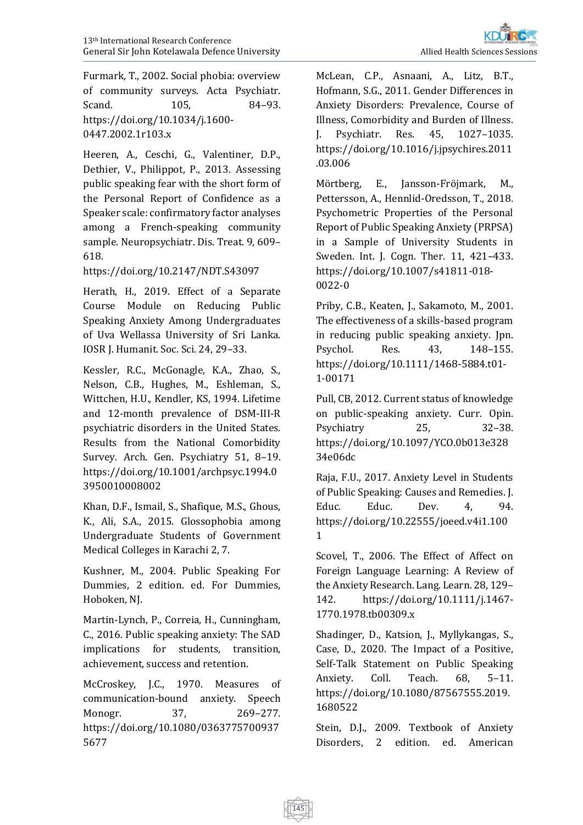Furmark, T., 2002. Social phobia: overview of community surveys. Acta Psychiatr. Scand. 105, 84–93. [https://doi.org/10.1034/j.1600-](https://doi.org/10.1034/j.1600-0447.2002.1r103.x) [0447.2002.1r103.x](https://doi.org/10.1034/j.1600-0447.2002.1r103.x)

Heeren, A., Ceschi, G., Valentiner, D.P., Dethier, V., Philippot, P., 2013. Assessing public speaking fear with the short form of the Personal Report of Confidence as a Speaker scale: confirmatory factor analyses among a French-speaking community sample. Neuropsychiatr. Dis. Treat. 9, 609– 618.

<https://doi.org/10.2147/NDT.S43097>

Herath, H., 2019. Effect of a Separate Course Module on Reducing Public Speaking Anxiety Among Undergraduates of Uva Wellassa University of Sri Lanka. IOSR J. Humanit. Soc. Sci. 24, 29–33.

Kessler, R.C., McGonagle, K.A., Zhao, S., Nelson, C.B., Hughes, M., Eshleman, S., Wittchen, H.U., Kendler, KS, 1994. Lifetime and 12-month prevalence of DSM-III-R psychiatric disorders in the United States. Results from the National Comorbidity Survey. Arch. Gen. Psychiatry 51, 8–19. [https://doi.org/10.1001/archpsyc.1994.0](https://doi.org/10.1001/archpsyc.1994.03950010008002) [3950010008002](https://doi.org/10.1001/archpsyc.1994.03950010008002)

Khan, D.F., Ismail, S., Shafique, M.S., Ghous, K., Ali, S.A., 2015. Glossophobia among Undergraduate Students of Government Medical Colleges in Karachi 2, 7.

Kushner, M., 2004. Public Speaking For Dummies, 2 edition. ed. For Dummies, Hoboken, NJ.

Martin-Lynch, P., Correia, H., Cunningham, C., 2016. Public speaking anxiety: The SAD implications for students, transition, achievement, success and retention.

McCroskey, J.C., 1970. Measures of communication‐bound anxiety. Speech Monogr. 37, 269–277. [https://doi.org/10.1080/0363775700937](https://doi.org/10.1080/03637757009375677) [5677](https://doi.org/10.1080/03637757009375677)

McLean, C.P., Asnaani, A., Litz, B.T., Hofmann, S.G., 2011. Gender Differences in Anxiety Disorders: Prevalence, Course of Illness, Comorbidity and Burden of Illness. J. Psychiatr. Res. 45, 1027–1035. [https://doi.org/10.1016/j.jpsychires.2011](https://doi.org/10.1016/j.jpsychires.2011.03.006) [.03.006](https://doi.org/10.1016/j.jpsychires.2011.03.006)

Mörtberg, E., Jansson-Fröjmark, M., Pettersson, A., Hennlid-Oredsson, T., 2018. Psychometric Properties of the Personal Report of Public Speaking Anxiety (PRPSA) in a Sample of University Students in Sweden. Int. J. Cogn. Ther. 11, 421–433. [https://doi.org/10.1007/s41811-018-](https://doi.org/10.1007/s41811-018-0022-0) [0022-0](https://doi.org/10.1007/s41811-018-0022-0)

Priby, C.B., Keaten, J., Sakamoto, M., 2001. The effectiveness of a skills-based program in reducing public speaking anxiety. Jpn. Psychol. Res. 43, 148–155. [https://doi.org/10.1111/1468-5884.t01-](https://doi.org/10.1111/1468-5884.t01-1-00171) [1-00171](https://doi.org/10.1111/1468-5884.t01-1-00171)

Pull, CB, 2012. Current status of knowledge on public-speaking anxiety. Curr. Opin. Psychiatry 25, 32–38. [https://doi.org/10.1097/YCO.0b013e328](https://doi.org/10.1097/YCO.0b013e32834e06dc) [34e06dc](https://doi.org/10.1097/YCO.0b013e32834e06dc)

Raja, F.U., 2017. Anxiety Level in Students of Public Speaking: Causes and Remedies. J. Educ. Educ. Dev. 4, 94. [https://doi.org/10.22555/joeed.v4i1.100](https://doi.org/10.22555/joeed.v4i1.1001) [1](https://doi.org/10.22555/joeed.v4i1.1001)

Scovel, T., 2006. The Effect of Affect on Foreign Language Learning: A Review of the Anxiety Research. Lang. Learn. 28, 129– 142. [https://doi.org/10.1111/j.1467-](https://doi.org/10.1111/j.1467-1770.1978.tb00309.x) [1770.1978.tb00309.x](https://doi.org/10.1111/j.1467-1770.1978.tb00309.x)

Shadinger, D., Katsion, J., Myllykangas, S., Case, D., 2020. The Impact of a Positive, Self-Talk Statement on Public Speaking Anxiety. Coll. Teach. 68, 5–11. [https://doi.org/10.1080/87567555.2019.](https://doi.org/10.1080/87567555.2019.1680522) [1680522](https://doi.org/10.1080/87567555.2019.1680522)

Stein, D.J., 2009. Textbook of Anxiety Disorders, 2 edition. ed. American

145